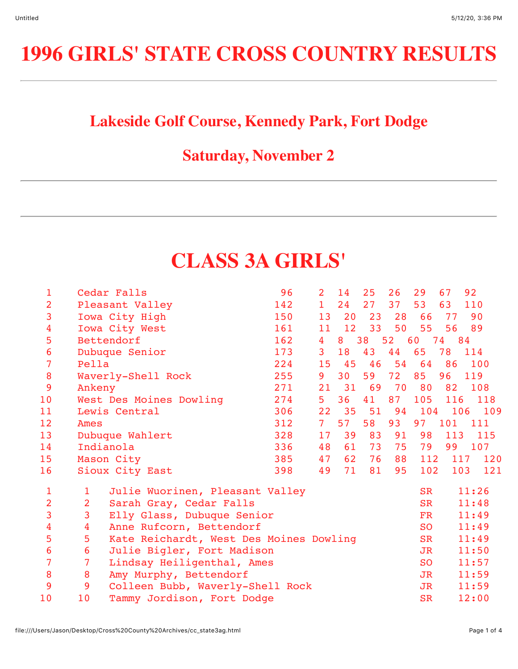# **1996 GIRLS' STATE CROSS COUNTRY RESULTS**

### **Lakeside Golf Course, Kennedy Park, Fort Dodge**

### **Saturday, November 2**

## **CLASS 3A GIRLS'**

| 1               |                | Cedar Falls                             | 96  | $\overline{2}$ | 14              | 25 | 26 | 29            | 67      | 92    |
|-----------------|----------------|-----------------------------------------|-----|----------------|-----------------|----|----|---------------|---------|-------|
| $\overline{2}$  |                | Pleasant Valley                         | 142 | $\mathbf{1}$   | 24              | 27 | 37 | 53            | 63      | 110   |
| 3               |                | Iowa City High                          | 150 | 13             | 20              | 23 | 28 | 66            | 77      | 90    |
| 4               |                | Iowa City West                          | 161 | 11             | 12              | 33 | 50 | 55            | 56      | 89    |
| 5               |                | Bettendorf                              | 162 | $\overline{4}$ | 8               | 38 | 52 | 60            | 74      | 84    |
| 6               |                | Dubuque Senior                          | 173 | 3 <sup>1</sup> | 18              | 43 | 44 | 65            | 78      | 114   |
| 7               | Pella          |                                         | 224 | 15             | 45              | 46 | 54 | 64            | 86      | 100   |
| 8               |                | Waverly-Shell Rock                      | 255 | 9              | 30 <sub>o</sub> | 59 | 72 | 85            | 96      | 119   |
| 9               | Ankeny         |                                         | 271 | 21             | 31              | 69 | 70 | 80            | 82      | 108   |
| 10              |                | West Des Moines Dowling                 | 274 | 5 <sup>1</sup> | 36              | 41 | 87 | 105           | 116     | 118   |
| 11              |                | Lewis Central                           | 306 | 22             | 35              | 51 | 94 |               | 104 106 | 109   |
| 12 <sup>2</sup> | Ames           |                                         | 312 | 7 <sup>1</sup> | 57              | 58 | 93 | 97            | 101     | 111   |
| 13              |                | Dubuque Wahlert                         | 328 | 17             | 39              | 83 | 91 | 98            | 113     | 115   |
| 14              |                | Indianola                               | 336 | 48             | 61              | 73 | 75 | 79            | 99      | 107   |
| 15              |                | Mason City                              | 385 | 47             | 62              | 76 | 88 | 112           | 117     | 120   |
| 16              |                | Sioux City East                         | 398 | 49             | 71              | 81 | 95 | 102           | 103     | 121   |
| 1               | 1              | Julie Wuorinen, Pleasant Valley         |     |                |                 |    |    | <b>SR</b>     |         | 11:26 |
| $\overline{2}$  | $\overline{2}$ | Sarah Gray, Cedar Falls                 |     |                |                 |    |    | <b>SR</b>     |         | 11:48 |
| 3               | 3              | Elly Glass, Dubuque Senior              |     |                |                 |    |    | $\mathbf{FR}$ |         | 11:49 |
| 4               | $\overline{4}$ | Anne Rufcorn, Bettendorf                |     |                |                 |    |    | <b>SO</b>     |         | 11:49 |
| 5               | 5              | Kate Reichardt, West Des Moines Dowling |     |                |                 |    |    | <b>SR</b>     |         | 11:49 |
| 6               | $\overline{6}$ | Julie Bigler, Fort Madison              |     |                |                 |    |    | <b>JR</b>     |         | 11:50 |
| 7               | $\overline{7}$ | Lindsay Heiligenthal, Ames              |     |                |                 |    |    | <b>SO</b>     |         | 11:57 |
| 8               | 8              | Amy Murphy, Bettendorf                  |     |                |                 |    |    | JR            |         | 11:59 |
| 9               | 9              | Colleen Bubb, Waverly-Shell Rock        |     |                |                 |    |    | JR            |         | 11:59 |
| 10              | 10             | Tammy Jordison, Fort Dodge              |     |                |                 |    |    | <b>SR</b>     |         | 12:00 |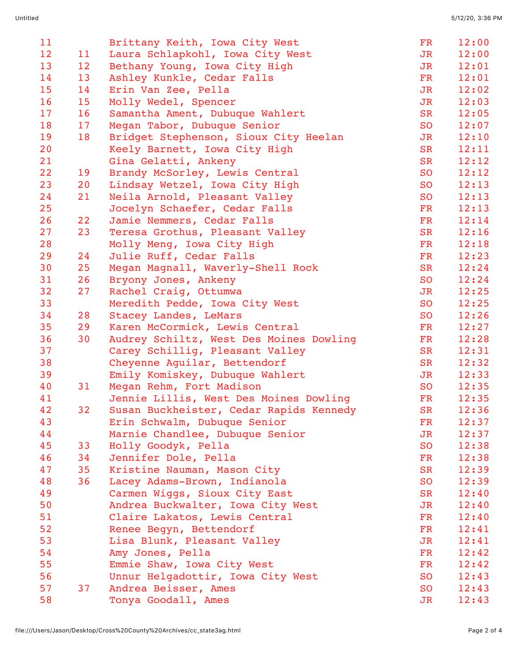| 11       |                 | Brittany Keith, Iowa City West                                  | FR              | 12:00 |
|----------|-----------------|-----------------------------------------------------------------|-----------------|-------|
| 12       | 11              | Laura Schlapkohl, Iowa City West                                | JR              | 12:00 |
| 13       | 12 <sup>2</sup> | Bethany Young, Iowa City High                                   | JR              | 12:01 |
| 14       | 13              | Ashley Kunkle, Cedar Falls                                      | FR              | 12:01 |
| 15       | 14              | Erin Van Zee, Pella                                             | JR              | 12:02 |
| 16       | 15              | Molly Wedel, Spencer                                            | J <sub>R</sub>  | 12:03 |
| 17       | 16              | Samantha Ament, Dubuque Wahlert                                 | <b>SR</b>       | 12:05 |
| 18       | 17              | Megan Tabor, Dubuque Senior                                     | <b>SO</b>       | 12:07 |
| 19       | 18              | Bridget Stephenson, Sioux City Heelan                           | J <sub>R</sub>  | 12:10 |
| 20       |                 | Keely Barnett, Iowa City High                                   | <b>SR</b>       | 12:11 |
| 21       |                 | Gina Gelatti, Ankeny                                            | <b>SR</b>       | 12:12 |
| 22       | 19              | Brandy McSorley, Lewis Central                                  | <b>SO</b>       | 12:12 |
| 23       | 20              | Lindsay Wetzel, Iowa City High                                  | <b>SO</b>       | 12:13 |
| 24       | 21              | Neila Arnold, Pleasant Valley                                   | SO              | 12:13 |
| 25       |                 | Jocelyn Schaefer, Cedar Falls                                   | FR              | 12:13 |
| 26       | 22              | Jamie Nemmers, Cedar Falls                                      | $\mathbf{FR}$   | 12:14 |
| 27       | 23              | Teresa Grothus, Pleasant Valley                                 | <b>SR</b>       | 12:16 |
| 28       |                 | Molly Meng, Iowa City High                                      | <b>FR</b>       | 12:18 |
| 29       | 24              | Julie Ruff, Cedar Falls                                         | FR              | 12:23 |
| 30       | 25              | Megan Magnall, Waverly-Shell Rock                               | <b>SR</b>       | 12:24 |
| 31       | 26              | Bryony Jones, Ankeny                                            | <b>SO</b>       | 12:24 |
| 32       | 27              | Rachel Craig, Ottumwa                                           | JR              | 12:25 |
| 33       |                 | Meredith Pedde, Iowa City West                                  | <b>SO</b>       | 12:25 |
| 34       | 28              | Stacey Landes, LeMars                                           | <b>SO</b>       | 12:26 |
| 35       | 29              | Karen McCormick, Lewis Central                                  | FR              | 12:27 |
| 36       | 30              | Audrey Schiltz, West Des Moines Dowling                         | FR              | 12:28 |
| 37       |                 | Carey Schillig, Pleasant Valley                                 | <b>SR</b>       | 12:31 |
| 38       |                 | Cheyenne Aguilar, Bettendorf                                    | <b>SR</b>       | 12:32 |
| 39       |                 | Emily Komiskey, Dubuque Wahlert                                 | J <sub>R</sub>  | 12:33 |
| 40       | 31              | Megan Rehm, Fort Madison                                        | <b>SO</b>       | 12:35 |
| 41       |                 | Jennie Lillis, West Des Moines Dowling                          | FR              | 12:35 |
| 42       | 32              | Susan Buckheister, Cedar Rapids Kennedy                         | <b>SR</b>       | 12:36 |
| 43       |                 |                                                                 | FR              | 12:37 |
| 44       |                 | Erin Schwalm, Dubuque Senior<br>Marnie Chandlee, Dubuque Senior | J <sub>R</sub>  | 12:37 |
| 45       |                 |                                                                 | <b>SO</b>       | 12:38 |
| 46       | 33<br>34        | Holly Goodyk, Pella<br>Jennifer Dole, Pella                     | FR              | 12:38 |
| 47       | 35              |                                                                 | <b>SR</b>       | 12:39 |
| 48       | 36              | Kristine Nauman, Mason City                                     | <b>SO</b>       | 12:39 |
| 49       |                 | Lacey Adams-Brown, Indianola<br>Carmen Wiggs, Sioux City East   | <b>SR</b>       | 12:40 |
| 50       |                 |                                                                 |                 | 12:40 |
| 51       |                 | Andrea Buckwalter, Iowa City West                               | JR<br><b>FR</b> | 12:40 |
| 52       |                 | Claire Lakatos, Lewis Central                                   |                 | 12:41 |
| 53       |                 | Renee Begyn, Bettendorf                                         | FR<br>JR        | 12:41 |
|          |                 | Lisa Blunk, Pleasant Valley                                     |                 |       |
| 54<br>55 |                 | Amy Jones, Pella                                                | FR              | 12:42 |
|          |                 | Emmie Shaw, Iowa City West                                      | FR              | 12:42 |
| 56       |                 | Unnur Helgadottir, Iowa City West                               | SO <sub>1</sub> | 12:43 |
| 57       | 37              | Andrea Beisser, Ames                                            | <b>SO</b>       | 12:43 |
| 58       |                 | Tonya Goodall, Ames                                             | JR              | 12:43 |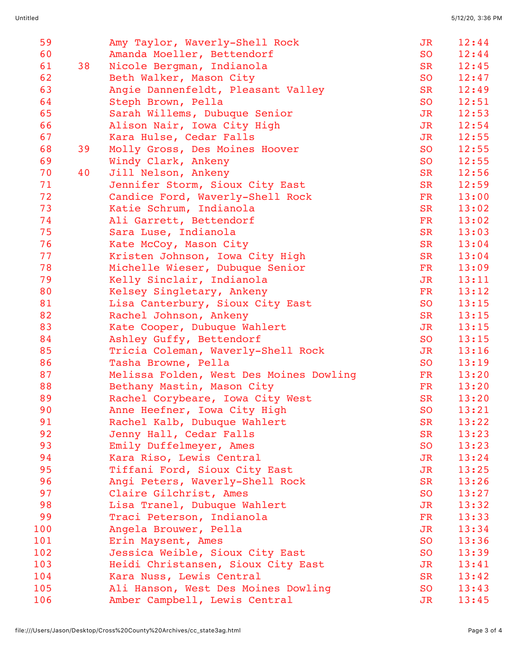| 59  |    | Amy Taylor, Waverly-Shell Rock          | JR              | 12:44 |
|-----|----|-----------------------------------------|-----------------|-------|
| 60  |    | Amanda Moeller, Bettendorf              | SO <sub>1</sub> | 12:44 |
| 61  | 38 | Nicole Bergman, Indianola               | <b>SR</b>       | 12:45 |
| 62  |    | Beth Walker, Mason City                 | <b>SO</b>       | 12:47 |
| 63  |    | Angie Dannenfeldt, Pleasant Valley      | <b>SR</b>       | 12:49 |
| 64  |    | Steph Brown, Pella                      | <b>SO</b>       | 12:51 |
| 65  |    | Sarah Willems, Dubuque Senior           | JR              | 12:53 |
| 66  |    | Alison Nair, Iowa City High             | JR              | 12:54 |
| 67  |    | Kara Hulse, Cedar Falls                 | J <sub>R</sub>  | 12:55 |
| 68  | 39 | Molly Gross, Des Moines Hoover          | SO              | 12:55 |
| 69  |    | Windy Clark, Ankeny                     | <b>SO</b>       | 12:55 |
| 70  | 40 | Jill Nelson, Ankeny                     | <b>SR</b>       | 12:56 |
| 71  |    | Jennifer Storm, Sioux City East         | SR              | 12:59 |
| 72  |    | Candice Ford, Waverly-Shell Rock        | FR              | 13:00 |
| 73  |    | Katie Schrum, Indianola                 | <b>SR</b>       | 13:02 |
| 74  |    | Ali Garrett, Bettendorf                 | FR              | 13:02 |
| 75  |    | Sara Luse, Indianola                    | <b>SR</b>       | 13:03 |
| 76  |    | Kate McCoy, Mason City                  | <b>SR</b>       | 13:04 |
| 77  |    | Kristen Johnson, Iowa City High         | <b>SR</b>       | 13:04 |
| 78  |    | Michelle Wieser, Dubuque Senior         | FR              | 13:09 |
| 79  |    | Kelly Sinclair, Indianola               | J <sub>R</sub>  | 13:11 |
| 80  |    | Kelsey Singletary, Ankeny               | FR              | 13:12 |
| 81  |    | Lisa Canterbury, Sioux City East        | <b>SO</b>       | 13:15 |
| 82  |    | Rachel Johnson, Ankeny                  | SR              | 13:15 |
| 83  |    | Kate Cooper, Dubuque Wahlert            | JR              | 13:15 |
| 84  |    | Ashley Guffy, Bettendorf                | <b>SO</b>       | 13:15 |
| 85  |    | Tricia Coleman, Waverly-Shell Rock      | JR              | 13:16 |
| 86  |    | Tasha Browne, Pella                     | <b>SO</b>       | 13:19 |
| 87  |    | Melissa Folden, West Des Moines Dowling | FR              | 13:20 |
| 88  |    | Bethany Mastin, Mason City              | FR              | 13:20 |
| 89  |    | Rachel Corybeare, Iowa City West        | <b>SR</b>       | 13:20 |
| 90  |    | Anne Heefner, Iowa City High            | <b>SO</b>       | 13:21 |
| 91  |    | Rachel Kalb, Dubuque Wahlert            | <b>SR</b>       | 13:22 |
| 92  |    | Jenny Hall, Cedar Falls                 | <b>SR</b>       | 13:23 |
| 93  |    | Emily Duffelmeyer, Ames                 | <b>SO</b>       | 13:23 |
| 94  |    | Kara Riso, Lewis Central                | JR              | 13:24 |
| 95  |    | Tiffani Ford, Sioux City East           | JR              | 13:25 |
| 96  |    | Angi Peters, Waverly-Shell Rock         | <b>SR</b>       | 13:26 |
| 97  |    | Claire Gilchrist, Ames                  | SO              | 13:27 |
| 98  |    | Lisa Tranel, Dubuque Wahlert            | <b>JR</b>       | 13:32 |
| 99  |    | Traci Peterson, Indianola               | FR              | 13:33 |
| 100 |    | Angela Brouwer, Pella                   | JR              | 13:34 |
| 101 |    | Erin Maysent, Ames                      | <b>SO</b>       | 13:36 |
| 102 |    | Jessica Weible, Sioux City East         | <b>SO</b>       | 13:39 |
| 103 |    | Heidi Christansen, Sioux City East      | JR              | 13:41 |
| 104 |    | Kara Nuss, Lewis Central                | <b>SR</b>       | 13:42 |
| 105 |    | Ali Hanson, West Des Moines Dowling     | <b>SO</b>       | 13:43 |
| 106 |    | Amber Campbell, Lewis Central           | JR              | 13:45 |
|     |    |                                         |                 |       |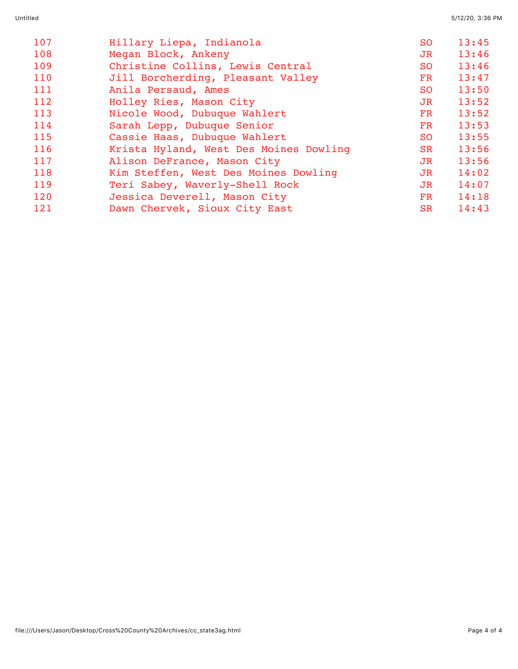| 107 | Hillary Liepa, Indianola               | SO.            | 13:45 |
|-----|----------------------------------------|----------------|-------|
| 108 | Megan Block, Ankeny                    | J <sub>R</sub> | 13:46 |
| 109 | Christine Collins, Lewis Central       | <b>SO</b>      | 13:46 |
| 110 | Jill Borcherding, Pleasant Valley      | FR             | 13:47 |
| 111 | Anila Persaud, Ames                    | <b>SO</b>      | 13:50 |
| 112 | Holley Ries, Mason City                | JR             | 13:52 |
| 113 | Nicole Wood, Dubuque Wahlert           | FR             | 13:52 |
| 114 | Sarah Lepp, Dubuque Senior             | FR             | 13:53 |
| 115 | Cassie Haas, Dubuque Wahlert           | SO.            | 13:55 |
| 116 | Krista Hyland, West Des Moines Dowling | <b>SR</b>      | 13:56 |
| 117 | Alison DeFrance, Mason City            | <b>JR</b>      | 13:56 |
| 118 | Kim Steffen, West Des Moines Dowling   | JR             | 14:02 |
| 119 | Teri Sabey, Waverly-Shell Rock         | JR             | 14:07 |
| 120 | Jessica Deverell, Mason City           | $_{\rm FR}$    | 14:18 |
| 121 | Dawn Chervek, Sioux City East          | <b>SR</b>      | 14:43 |
|     |                                        |                |       |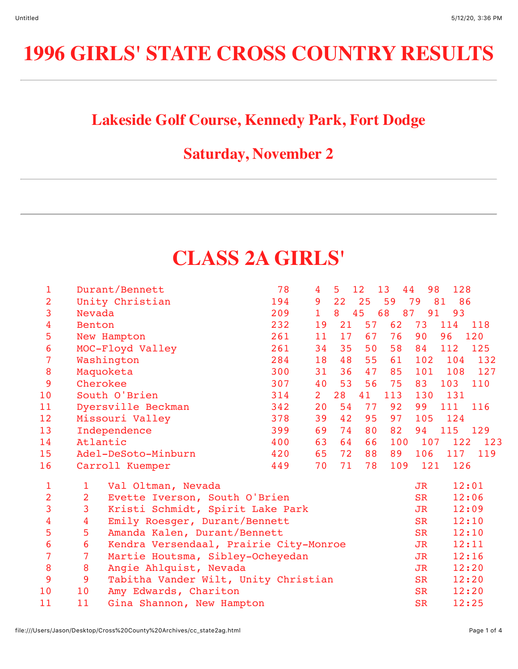### **Lakeside Golf Course, Kennedy Park, Fort Dodge**

### **Saturday, November 2**

### **CLASS 2A GIRLS'**

| 1              |                | Durant/Bennett                         | 78  | 4              | 5  | 12 | 13  | 44<br>98       | 128      |       |
|----------------|----------------|----------------------------------------|-----|----------------|----|----|-----|----------------|----------|-------|
| $\overline{2}$ |                | Unity Christian                        | 194 | 9              | 22 | 25 | 59  | 79             | 81<br>86 |       |
| 3              | Nevada         |                                        | 209 | $\mathbf{1}$   | 8  | 45 | 68  | 87<br>91       | 93       |       |
| 4              | Benton         |                                        | 232 | 19             | 21 | 57 | 62  | 73             | 114      | 118   |
| 5              |                | New Hampton                            | 261 | 11             | 17 | 67 | 76  | 90             | 96       | 120   |
| 6              |                | MOC-Floyd Valley                       | 261 | 34             | 35 | 50 | 58  | 84             | 112      | 125   |
| $\overline{7}$ |                | Washington                             | 284 | 18             | 48 | 55 | 61  | 102            | 104      | 132   |
| 8              |                | Maquoketa                              | 300 | 31             | 36 | 47 | 85  | 101            | 108      | 127   |
| 9              |                | Cherokee                               | 307 | 40             | 53 | 56 | 75  | 83             | 103      | 110   |
| 10             |                | South O'Brien                          | 314 | 2 <sup>1</sup> | 28 | 41 | 113 | 130            | 131      |       |
| 11             |                | Dyersville Beckman                     | 342 | 20             | 54 | 77 | 92  | 99             | 111      | 116   |
| 12             |                | Missouri Valley                        | 378 | 39             | 42 | 95 | 97  | 105            | 124      |       |
| 13             |                | Independence                           | 399 | 69             | 74 | 80 | 82  | 94             | 115 129  |       |
| 14             |                | Atlantic                               | 400 | 63             | 64 | 66 | 100 | 107            | 122      | 123   |
| 15             |                | Adel-DeSoto-Minburn                    | 420 | 65             | 72 | 88 | 89  | 106            | 117      | 119   |
| 16             |                | Carroll Kuemper                        | 449 | 70             | 71 | 78 | 109 | 121            | 126      |       |
| $\mathbf{1}$   | $\mathbf{1}$   | Val Oltman, Nevada                     |     |                |    |    |     | JR             |          | 12:01 |
| $\overline{2}$ | $\overline{2}$ | Evette Iverson, South O'Brien          |     |                |    |    |     | <b>SR</b>      |          | 12:06 |
| 3              | 3              | Kristi Schmidt, Spirit Lake Park       |     |                |    |    |     | JR             |          | 12:09 |
| 4              | 4              | Emily Roesger, Durant/Bennett          |     |                |    |    |     | <b>SR</b>      |          | 12:10 |
| 5              | 5              | Amanda Kalen, Durant/Bennett           |     |                |    |    |     | <b>SR</b>      |          | 12:10 |
| 6              | 6              | Kendra Versendaal, Prairie City-Monroe |     |                |    |    |     | JR             |          | 12:11 |
| $\overline{7}$ | $\overline{7}$ | Martie Houtsma, Sibley-Ocheyedan       |     |                |    |    |     | J <sub>R</sub> |          | 12:16 |
| 8              | 8              | Angie Ahlquist, Nevada                 |     |                |    |    |     | JR             |          | 12:20 |
| 9              | 9              | Tabitha Vander Wilt, Unity Christian   |     |                |    |    |     | <b>SR</b>      |          | 12:20 |
| 10             | 10             | Amy Edwards, Chariton                  |     |                |    |    |     | <b>SR</b>      |          | 12:20 |
| 11             | 11             | Gina Shannon, New Hampton              |     |                |    |    |     | <b>SR</b>      |          | 12:25 |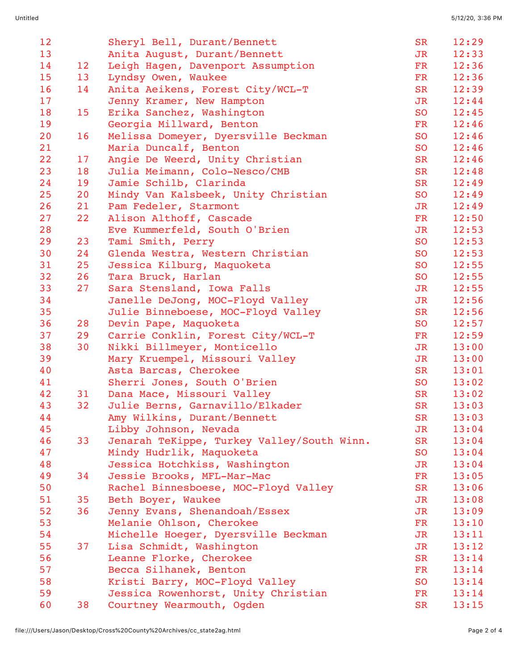| 12 |    | Sheryl Bell, Durant/Bennett                | <b>SR</b>      | 12:29 |
|----|----|--------------------------------------------|----------------|-------|
| 13 |    | Anita August, Durant/Bennett               | JR             | 12:33 |
| 14 | 12 | Leigh Hagen, Davenport Assumption          | FR             | 12:36 |
| 15 | 13 | Lyndsy Owen, Waukee                        | FR             | 12:36 |
| 16 | 14 | Anita Aeikens, Forest City/WCL-T           | <b>SR</b>      | 12:39 |
| 17 |    | Jenny Kramer, New Hampton                  | JR             | 12:44 |
| 18 | 15 | Erika Sanchez, Washington                  | <b>SO</b>      | 12:45 |
| 19 |    | Georgia Millward, Benton                   | FR             | 12:46 |
| 20 | 16 | Melissa Domeyer, Dyersville Beckman        | <b>SO</b>      | 12:46 |
| 21 |    | Maria Duncalf, Benton                      | <b>SO</b>      | 12:46 |
| 22 | 17 | Angie De Weerd, Unity Christian            | <b>SR</b>      | 12:46 |
| 23 | 18 | Julia Meimann, Colo-Nesco/CMB              | <b>SR</b>      | 12:48 |
| 24 | 19 | Jamie Schilb, Clarinda                     | <b>SR</b>      | 12:49 |
| 25 | 20 | Mindy Van Kalsbeek, Unity Christian        | <b>SO</b>      | 12:49 |
| 26 | 21 | Pam Fedeler, Starmont                      | J <sub>R</sub> | 12:49 |
| 27 | 22 | Alison Althoff, Cascade                    | FR             | 12:50 |
| 28 |    | Eve Kummerfeld, South O'Brien              | JR             | 12:53 |
| 29 | 23 | Tami Smith, Perry                          | <b>SO</b>      | 12:53 |
| 30 | 24 | Glenda Westra, Western Christian           | <b>SO</b>      | 12:53 |
| 31 | 25 | Jessica Kilburg, Maquoketa                 | <b>SO</b>      | 12:55 |
| 32 | 26 | Tara Bruck, Harlan                         | <b>SO</b>      | 12:55 |
| 33 | 27 | Sara Stensland, Iowa Falls                 | J <sub>R</sub> | 12:55 |
| 34 |    | Janelle DeJong, MOC-Floyd Valley           | JR             | 12:56 |
| 35 |    | Julie Binneboese, MOC-Floyd Valley         | <b>SR</b>      | 12:56 |
| 36 | 28 | Devin Pape, Maquoketa                      | <b>SO</b>      | 12:57 |
| 37 | 29 | Carrie Conklin, Forest City/WCL-T          | FR             | 12:59 |
| 38 | 30 | Nikki Billmeyer, Monticello                | J <sub>R</sub> | 13:00 |
| 39 |    | Mary Kruempel, Missouri Valley             | J <sub>R</sub> | 13:00 |
| 40 |    | Asta Barcas, Cherokee                      | <b>SR</b>      | 13:01 |
| 41 |    | Sherri Jones, South O'Brien                | <b>SO</b>      | 13:02 |
| 42 | 31 | Dana Mace, Missouri Valley                 | <b>SR</b>      | 13:02 |
| 43 | 32 | Julie Berns, Garnavillo/Elkader            | <b>SR</b>      | 13:03 |
| 44 |    | Amy Wilkins, Durant/Bennett                | <b>SR</b>      | 13:03 |
| 45 |    | Libby Johnson, Nevada                      | <b>JR</b>      | 13:04 |
| 46 | 33 | Jenarah TeKippe, Turkey Valley/South Winn. | <b>SR</b>      | 13:04 |
| 47 |    | Mindy Hudrlik, Maquoketa                   | <b>SO</b>      | 13:04 |
| 48 |    | Jessica Hotchkiss, Washington              | JR             | 13:04 |
| 49 | 34 | Jessie Brooks, MFL-Mar-Mac                 | FR             | 13:05 |
| 50 |    | Rachel Binnesboese, MOC-Floyd Valley       | <b>SR</b>      | 13:06 |
| 51 | 35 | Beth Boyer, Waukee                         | JR             | 13:08 |
| 52 | 36 | Jenny Evans, Shenandoah/Essex              | JR             | 13:09 |
| 53 |    | Melanie Ohlson, Cherokee                   | FR             | 13:10 |
| 54 |    | Michelle Hoeger, Dyersville Beckman        | JR             | 13:11 |
| 55 | 37 | Lisa Schmidt, Washington                   | JR             | 13:12 |
| 56 |    | Leanne Florke, Cherokee                    | <b>SR</b>      | 13:14 |
| 57 |    | Becca Silhanek, Benton                     | FR             | 13:14 |
| 58 |    | Kristi Barry, MOC-Floyd Valley             | <b>SO</b>      | 13:14 |
| 59 |    | Jessica Rowenhorst, Unity Christian        | FR             | 13:14 |
| 60 | 38 | Courtney Wearmouth, Ogden                  | <b>SR</b>      | 13:15 |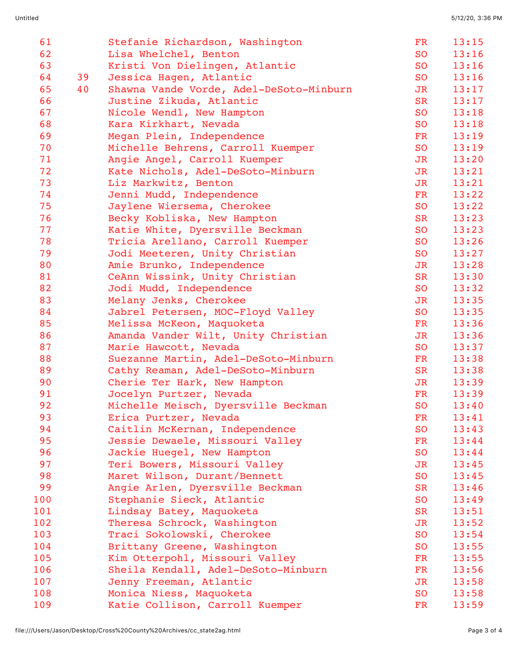| 61  |    | Stefanie Richardson, Washington         | FR        | 13:15 |
|-----|----|-----------------------------------------|-----------|-------|
| 62  |    | Lisa Whelchel, Benton                   | <b>SO</b> | 13:16 |
| 63  |    | Kristi Von Dielingen, Atlantic          | <b>SO</b> | 13:16 |
| 64  | 39 | Jessica Hagen, Atlantic                 | <b>SO</b> | 13:16 |
| 65  | 40 | Shawna Vande Vorde, Adel-DeSoto-Minburn | JR        | 13:17 |
| 66  |    | Justine Zikuda, Atlantic                | <b>SR</b> | 13:17 |
| 67  |    | Nicole Wendl, New Hampton               | <b>SO</b> | 13:18 |
| 68  |    | Kara Kirkhart, Nevada                   | <b>SO</b> | 13:18 |
| 69  |    | Megan Plein, Independence               | FR        | 13:19 |
| 70  |    | Michelle Behrens, Carroll Kuemper       | <b>SO</b> | 13:19 |
| 71  |    | Angie Angel, Carroll Kuemper            | JR        | 13:20 |
| 72  |    | Kate Nichols, Adel-DeSoto-Minburn       | JR        | 13:21 |
| 73  |    | Liz Markwitz, Benton                    | JR        | 13:21 |
| 74  |    | Jenni Mudd, Independence                | FR        | 13:22 |
| 75  |    | Jaylene Wiersema, Cherokee              | <b>SO</b> | 13:22 |
| 76  |    | Becky Kobliska, New Hampton             | <b>SR</b> | 13:23 |
| 77  |    | Katie White, Dyersville Beckman         | <b>SO</b> | 13:23 |
| 78  |    | Tricia Arellano, Carroll Kuemper        | <b>SO</b> | 13:26 |
| 79  |    | Jodi Meeteren, Unity Christian          | <b>SO</b> | 13:27 |
| 80  |    | Amie Brunko, Independence               | JR        | 13:28 |
| 81  |    | CeAnn Wissink, Unity Christian          | <b>SR</b> | 13:30 |
| 82  |    | Jodi Mudd, Independence                 | <b>SO</b> | 13:32 |
| 83  |    | Melany Jenks, Cherokee                  | JR        | 13:35 |
| 84  |    | Jabrel Petersen, MOC-Floyd Valley       | <b>SO</b> | 13:35 |
| 85  |    | Melissa McKeon, Maquoketa               | FR        | 13:36 |
| 86  |    | Amanda Vander Wilt, Unity Christian     | JR        | 13:36 |
| 87  |    | Marie Hawcott, Nevada                   | <b>SO</b> | 13:37 |
| 88  |    | Suezanne Martin, Adel-DeSoto-Minburn    | FR        | 13:38 |
| 89  |    | Cathy Reaman, Adel-DeSoto-Minburn       | <b>SR</b> | 13:38 |
| 90  |    | Cherie Ter Hark, New Hampton            | JR        | 13:39 |
| 91  |    | Jocelyn Purtzer, Nevada                 | FR        | 13:39 |
| 92  |    | Michelle Meisch, Dyersville Beckman     | <b>SO</b> | 13:40 |
| 93  |    | Erica Purtzer, Nevada                   | FR        | 13:41 |
| 94  |    | Caitlin McKernan, Independence          | <b>SO</b> | 13:43 |
| 95  |    | Jessie Dewaele, Missouri Valley         | FR        | 13:44 |
| 96  |    | Jackie Huegel, New Hampton              | <b>SO</b> | 13:44 |
| 97  |    | Teri Bowers, Missouri Valley            | JR        | 13:45 |
| 98  |    | Maret Wilson, Durant/Bennett            | <b>SO</b> | 13:45 |
| 99  |    | Angie Arlen, Dyersville Beckman         | <b>SR</b> | 13:46 |
| 100 |    | Stephanie Sieck, Atlantic               | <b>SO</b> | 13:49 |
| 101 |    | Lindsay Batey, Maquoketa                | <b>SR</b> | 13:51 |
| 102 |    | Theresa Schrock, Washington             | JR        | 13:52 |
| 103 |    | Traci Sokolowski, Cherokee              | <b>SO</b> | 13:54 |
| 104 |    | Brittany Greene, Washington             | <b>SO</b> | 13:55 |
| 105 |    | Kim Otterpohl, Missouri Valley          | FR        | 13:55 |
| 106 |    | Sheila Kendall, Adel-DeSoto-Minburn     | FR        | 13:56 |
| 107 |    | Jenny Freeman, Atlantic                 | JR        | 13:58 |
| 108 |    | Monica Niess, Maquoketa                 | <b>SO</b> | 13:58 |
| 109 |    | Katie Collison, Carroll Kuemper         | FR        | 13:59 |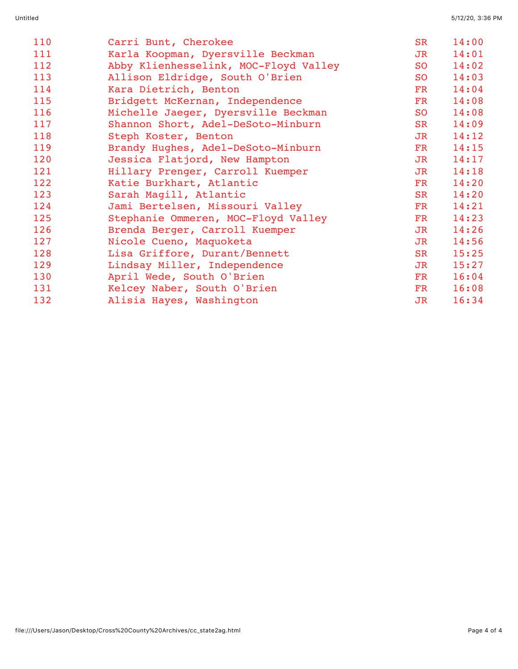| 110 | Carri Bunt, Cherokee                  | <b>SR</b>              | 14:00 |
|-----|---------------------------------------|------------------------|-------|
| 111 | Karla Koopman, Dyersville Beckman     | JR                     | 14:01 |
| 112 | Abby Klienhesselink, MOC-Floyd Valley | <b>SO</b>              | 14:02 |
| 113 | Allison Eldridge, South O'Brien       | <b>SO</b>              | 14:03 |
| 114 | Kara Dietrich, Benton                 | FR                     | 14:04 |
| 115 | Bridgett McKernan, Independence       | FR                     | 14:08 |
| 116 | Michelle Jaeger, Dyersville Beckman   | <b>SO</b>              | 14:08 |
| 117 | Shannon Short, Adel-DeSoto-Minburn    | SR                     | 14:09 |
| 118 | Steph Koster, Benton                  | J <sub>R</sub>         | 14:12 |
| 119 | Brandy Hughes, Adel-DeSoto-Minburn    | FR                     | 14:15 |
| 120 | Jessica Flatjord, New Hampton         | J <sub>R</sub>         | 14:17 |
| 121 | Hillary Prenger, Carroll Kuemper      | JR                     | 14:18 |
| 122 | Katie Burkhart, Atlantic              | FR                     | 14:20 |
| 123 | Sarah Magill, Atlantic                | <b>SR</b>              | 14:20 |
| 124 | Jami Bertelsen, Missouri Valley       | FR                     | 14:21 |
| 125 | Stephanie Ommeren, MOC-Floyd Valley   | $\overline{\text{FR}}$ | 14:23 |
| 126 | Brenda Berger, Carroll Kuemper        | JR                     | 14:26 |
| 127 | Nicole Cueno, Maquoketa               | J <sub>R</sub>         | 14:56 |
| 128 | Lisa Griffore, Durant/Bennett         | SR                     | 15:25 |
| 129 | Lindsay Miller, Independence          | JR                     | 15:27 |
| 130 | April Wede, South O'Brien             | $\overline{\text{FR}}$ | 16:04 |
| 131 | Kelcey Naber, South O'Brien           | $\mathbf{FR}$          | 16:08 |
| 132 | Alisia Hayes, Washington              | JR                     | 16:34 |
|     |                                       |                        |       |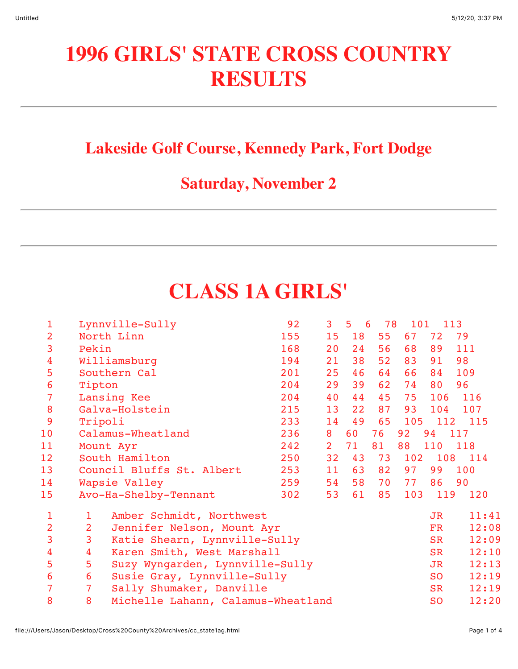# **1996 GIRLS' STATE CROSS COUNTRY RESULTS**

#### **Lakeside Golf Course, Kennedy Park, Fort Dodge**

### **Saturday, November 2**

# **CLASS 1A GIRLS'**

| $\mathbf{1}$    |                | Lynnville-Sully                    | 92  | $\mathbf{3}$   | $\overline{5}$<br>6 | 78 | 101 | 113       |       |
|-----------------|----------------|------------------------------------|-----|----------------|---------------------|----|-----|-----------|-------|
| $\overline{2}$  |                | North Linn                         | 155 | 15             | 18                  | 55 | 67  | 72        | 79    |
| 3               | Pekin          |                                    | 168 | 20             | 24                  | 56 | 68  | 89        | 111   |
| $\overline{4}$  |                | Williamsburg                       | 194 | 21             | 38                  | 52 | 83  | 91        | 98    |
| 5               |                | Southern Cal                       | 201 | 25             | 46                  | 64 | 66  | 84        | 109   |
| $6\phantom{1}6$ | Tipton         |                                    | 204 | 29             | 39                  | 62 | 74  | 80        | 96    |
| 7               |                | Lansing Kee                        | 204 | 40             | 44                  | 45 | 75  | 106       | 116   |
| 8               |                | Galva-Holstein                     | 215 | 13             | 22                  | 87 | 93  | 104       | 107   |
| 9               | Tripoli        |                                    | 233 | 14             | 49                  | 65 | 105 | 112       | 115   |
| 10              |                | Calamus-Wheatland                  | 236 | 8              | 60                  | 76 | 92  | 94 117    |       |
| 11              |                | Mount Ayr                          | 242 | 2 <sup>1</sup> | 71                  | 81 | 88  | 110       | 118   |
| 12              |                | South Hamilton                     | 250 | 32             | 43                  | 73 | 102 | 108       | 114   |
| 13              |                | Council Bluffs St. Albert          | 253 | 11             | 63                  | 82 | 97  | 99        | 100   |
| 14              |                | Wapsie Valley                      | 259 | 54             | 58                  | 70 | 77  | 86        | 90    |
| 15              |                | Avo-Ha-Shelby-Tennant              | 302 | 53             | 61                  | 85 | 103 | 119       | 120   |
| $\mathbf 1$     | $\mathbf{1}$   | Amber Schmidt, Northwest           |     |                |                     |    |     | JR        | 11:41 |
| $\overline{2}$  | $\overline{2}$ | Jennifer Nelson, Mount Ayr         |     |                |                     |    |     | FR        | 12:08 |
| 3               | 3              | Katie Shearn, Lynnville-Sully      |     |                |                     |    |     | <b>SR</b> | 12:09 |
| $\overline{4}$  | 4              | Karen Smith, West Marshall         |     |                |                     |    |     | SR        | 12:10 |
| 5               | 5              | Suzy Wyngarden, Lynnville-Sully    |     |                |                     |    |     | JR        | 12:13 |
| 6               | 6              | Susie Gray, Lynnville-Sully        |     |                |                     |    |     | <b>SO</b> | 12:19 |
| $\overline{7}$  | 7              | Sally Shumaker, Danville           |     |                |                     |    |     | SR        | 12:19 |
| 8               | 8              | Michelle Lahann, Calamus-Wheatland |     |                |                     |    |     | <b>SO</b> | 12:20 |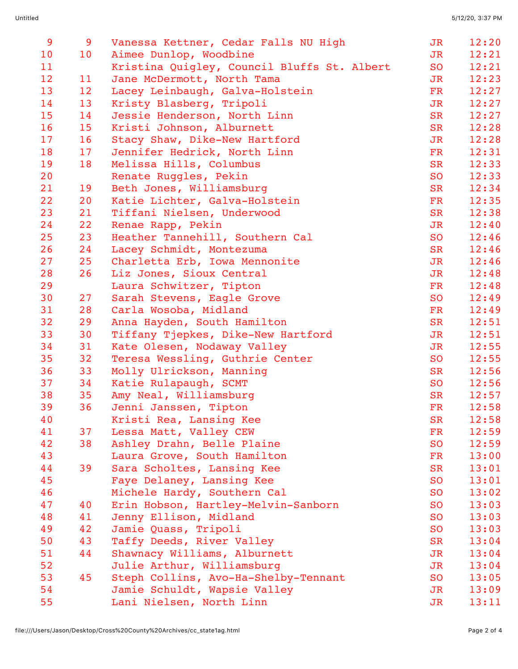| 9  | 9               | Vanessa Kettner, Cedar Falls NU High        | JR             | 12:20 |
|----|-----------------|---------------------------------------------|----------------|-------|
| 10 | 10              | Aimee Dunlop, Woodbine                      | J <sub>R</sub> | 12:21 |
| 11 |                 | Kristina Quigley, Council Bluffs St. Albert | <b>SO</b>      | 12:21 |
| 12 | 11              | Jane McDermott, North Tama                  | JR             | 12:23 |
| 13 | 12 <sup>2</sup> | Lacey Leinbaugh, Galva-Holstein             | FR             | 12:27 |
| 14 | 13              | Kristy Blasberg, Tripoli                    | J <sub>R</sub> | 12:27 |
| 15 | 14              | Jessie Henderson, North Linn                | <b>SR</b>      | 12:27 |
| 16 | 15              | Kristi Johnson, Alburnett                   | SR             | 12:28 |
| 17 | 16              | Stacy Shaw, Dike-New Hartford               | JR             | 12:28 |
| 18 | 17              | Jennifer Hedrick, North Linn                | <b>FR</b>      | 12:31 |
| 19 | 18              | Melissa Hills, Columbus                     | <b>SR</b>      | 12:33 |
| 20 |                 | Renate Ruggles, Pekin                       | <b>SO</b>      | 12:33 |
| 21 | 19              | Beth Jones, Williamsburg                    | <b>SR</b>      | 12:34 |
| 22 | 20              | Katie Lichter, Galva-Holstein               | FR             | 12:35 |
| 23 | 21              | Tiffani Nielsen, Underwood                  | <b>SR</b>      | 12:38 |
| 24 | 22              | Renae Rapp, Pekin                           | JR             | 12:40 |
| 25 | 23              | Heather Tannehill, Southern Cal             | <b>SO</b>      | 12:46 |
| 26 | 24              | Lacey Schmidt, Montezuma                    | <b>SR</b>      | 12:46 |
| 27 | 25              | Charletta Erb, Iowa Mennonite               | JR             | 12:46 |
| 28 | 26              | Liz Jones, Sioux Central                    | J <sub>R</sub> | 12:48 |
| 29 |                 | Laura Schwitzer, Tipton                     | FR             | 12:48 |
| 30 | 27              | Sarah Stevens, Eagle Grove                  | <b>SO</b>      | 12:49 |
| 31 | 28              | Carla Wosoba, Midland                       | $\mathbf{FR}$  | 12:49 |
| 32 | 29              | Anna Hayden, South Hamilton                 | <b>SR</b>      | 12:51 |
| 33 | 30              | Tiffany Tjepkes, Dike-New Hartford          | J <sub>R</sub> | 12:51 |
| 34 | 31              | Kate Olesen, Nodaway Valley                 | J <sub>R</sub> | 12:55 |
| 35 | 32              | Teresa Wessling, Guthrie Center             | <b>SO</b>      | 12:55 |
| 36 | 33              | Molly Ulrickson, Manning                    | <b>SR</b>      | 12:56 |
| 37 | 34              | Katie Rulapaugh, SCMT                       | SO             | 12:56 |
| 38 | 35              | Amy Neal, Williamsburg                      | <b>SR</b>      | 12:57 |
| 39 | 36              | Jenni Janssen, Tipton                       | FR             | 12:58 |
| 40 |                 | Kristi Rea, Lansing Kee                     | <b>SR</b>      | 12:58 |
| 41 | 37              | Lessa Matt, Valley CEW                      | FR             | 12:59 |
| 42 | 38              | Ashley Drahn, Belle Plaine                  | <b>SO</b>      | 12:59 |
| 43 |                 | Laura Grove, South Hamilton                 | FR             | 13:00 |
| 44 | 39              | Sara Scholtes, Lansing Kee                  | <b>SR</b>      | 13:01 |
| 45 |                 | Faye Delaney, Lansing Kee                   | <b>SO</b>      | 13:01 |
| 46 |                 | Michele Hardy, Southern Cal                 | <b>SO</b>      | 13:02 |
| 47 | 40              | Erin Hobson, Hartley-Melvin-Sanborn         | <b>SO</b>      | 13:03 |
| 48 | 41              | Jenny Ellison, Midland                      | <b>SO</b>      | 13:03 |
| 49 | 42              | Jamie Quass, Tripoli                        | <b>SO</b>      | 13:03 |
| 50 | 43              | Taffy Deeds, River Valley                   | <b>SR</b>      | 13:04 |
| 51 | 44              | Shawnacy Williams, Alburnett                | JR             | 13:04 |
| 52 |                 | Julie Arthur, Williamsburg                  | JR             | 13:04 |
| 53 | 45              | Steph Collins, Avo-Ha-Shelby-Tennant        | <b>SO</b>      | 13:05 |
| 54 |                 | Jamie Schuldt, Wapsie Valley                | JR             | 13:09 |
| 55 |                 | Lani Nielsen, North Linn                    | JR             | 13:11 |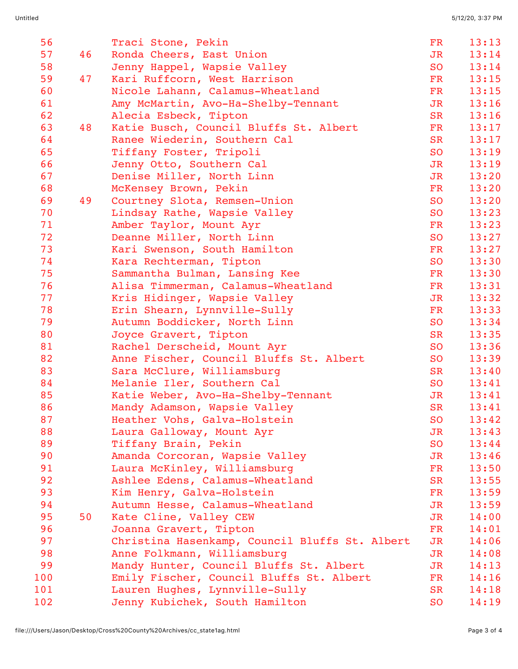| 56  |    | Traci Stone, Pekin                             | <b>FR</b>      | 13:13 |
|-----|----|------------------------------------------------|----------------|-------|
| 57  | 46 | Ronda Cheers, East Union                       | JR             | 13:14 |
| 58  |    | Jenny Happel, Wapsie Valley                    | <b>SO</b>      | 13:14 |
| 59  | 47 | Kari Ruffcorn, West Harrison                   | FR             | 13:15 |
| 60  |    | Nicole Lahann, Calamus-Wheatland               | $\mathbf{FR}$  | 13:15 |
| 61  |    | Amy McMartin, Avo-Ha-Shelby-Tennant            | JR             | 13:16 |
| 62  |    | Alecia Esbeck, Tipton                          | <b>SR</b>      | 13:16 |
| 63  | 48 | Katie Busch, Council Bluffs St. Albert         | FR             | 13:17 |
| 64  |    | Ranee Wiederin, Southern Cal                   | <b>SR</b>      | 13:17 |
| 65  |    | Tiffany Foster, Tripoli                        | <b>SO</b>      | 13:19 |
| 66  |    | Jenny Otto, Southern Cal                       | JR             | 13:19 |
| 67  |    | Denise Miller, North Linn                      | J <sub>R</sub> | 13:20 |
| 68  |    | McKensey Brown, Pekin                          | $\mathbf{FR}$  | 13:20 |
| 69  | 49 | Courtney Slota, Remsen-Union                   | <b>SO</b>      | 13:20 |
| 70  |    | Lindsay Rathe, Wapsie Valley                   | <b>SO</b>      | 13:23 |
| 71  |    | Amber Taylor, Mount Ayr                        | FR             | 13:23 |
| 72  |    | Deanne Miller, North Linn                      | S <sub>O</sub> | 13:27 |
| 73  |    | Kari Swenson, South Hamilton                   | $\mathbf{FR}$  | 13:27 |
| 74  |    | Kara Rechterman, Tipton                        | <b>SO</b>      | 13:30 |
| 75  |    | Sammantha Bulman, Lansing Kee                  | $\mathbf{FR}$  | 13:30 |
| 76  |    | Alisa Timmerman, Calamus-Wheatland             | FR             | 13:31 |
| 77  |    | Kris Hidinger, Wapsie Valley                   | JR             | 13:32 |
| 78  |    | Erin Shearn, Lynnville-Sully                   | FR             | 13:33 |
| 79  |    | Autumn Boddicker, North Linn                   | <b>SO</b>      | 13:34 |
| 80  |    | Joyce Gravert, Tipton                          | <b>SR</b>      | 13:35 |
| 81  |    | Rachel Derscheid, Mount Ayr                    | S <sub>O</sub> | 13:36 |
| 82  |    | Anne Fischer, Council Bluffs St. Albert        | <b>SO</b>      | 13:39 |
| 83  |    | Sara McClure, Williamsburg                     | <b>SR</b>      | 13:40 |
| 84  |    | Melanie Iler, Southern Cal                     | S <sub>O</sub> | 13:41 |
| 85  |    | Katie Weber, Avo-Ha-Shelby-Tennant             | JR             | 13:41 |
| 86  |    | Mandy Adamson, Wapsie Valley                   | <b>SR</b>      | 13:41 |
| 87  |    | Heather Vohs, Galva-Holstein                   | <b>SO</b>      | 13:42 |
| 88  |    | Laura Galloway, Mount Ayr                      | JR             | 13:43 |
| 89  |    | Tiffany Brain, Pekin                           | <b>SO</b>      | 13:44 |
| 90  |    | Amanda Corcoran, Wapsie Valley                 | J <sub>R</sub> | 13:46 |
| 91  |    | Laura McKinley, Williamsburg                   | FR             | 13:50 |
| 92  |    | Ashlee Edens, Calamus-Wheatland                | <b>SR</b>      | 13:55 |
| 93  |    | Kim Henry, Galva-Holstein                      | FR             | 13:59 |
| 94  |    | Autumn Hesse, Calamus-Wheatland                | JR             | 13:59 |
| 95  | 50 | Kate Cline, Valley CEW                         | J <sub>R</sub> | 14:00 |
| 96  |    | Joanna Gravert, Tipton                         | FR             | 14:01 |
| 97  |    | Christina Hasenkamp, Council Bluffs St. Albert | JR             | 14:06 |
| 98  |    | Anne Folkmann, Williamsburg                    | JR             | 14:08 |
| 99  |    | Mandy Hunter, Council Bluffs St. Albert        | JR             | 14:13 |
| 100 |    | Emily Fischer, Council Bluffs St. Albert       | $_{\rm FR}$    | 14:16 |
| 101 |    | Lauren Hughes, Lynnville-Sully                 | SR             | 14:18 |
| 102 |    | Jenny Kubichek, South Hamilton                 | <b>SO</b>      | 14:19 |